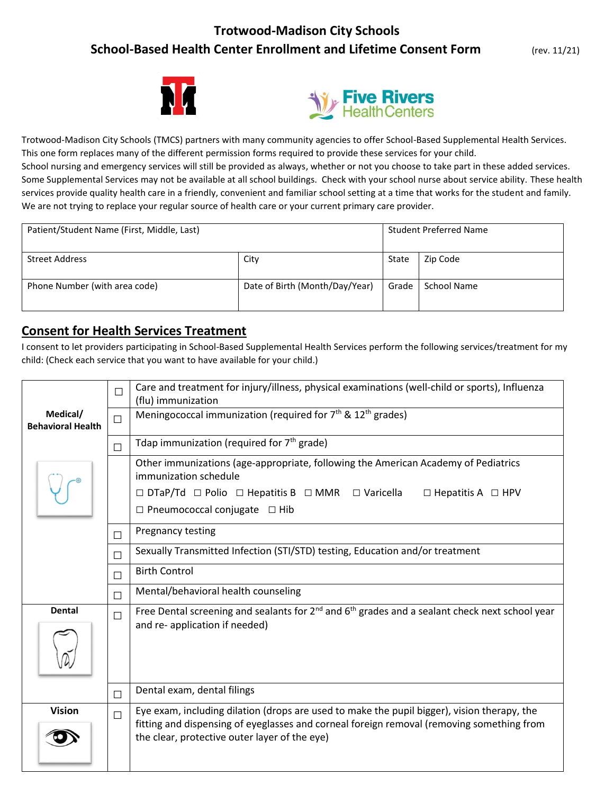# **Trotwood-Madison City Schools School-Based Health Center Enrollment and Lifetime Consent Form** (rev. 11/21)





Trotwood-Madison City Schools (TMCS) partners with many community agencies to offer School-Based Supplemental Health Services. This one form replaces many of the different permission forms required to provide these services for your child. School nursing and emergency services will still be provided as always, whether or not you choose to take part in these added services. Some Supplemental Services may not be available at all school buildings. Check with your school nurse about service ability. These health services provide quality health care in a friendly, convenient and familiar school setting at a time that works for the student and family. We are not trying to replace your regular source of health care or your current primary care provider.

| Patient/Student Name (First, Middle, Last) |                                |       | <b>Student Preferred Name</b> |  |  |
|--------------------------------------------|--------------------------------|-------|-------------------------------|--|--|
| <b>Street Address</b>                      | City                           | State | Zip Code                      |  |  |
| Phone Number (with area code)              | Date of Birth (Month/Day/Year) | Grade | School Name                   |  |  |

# **Consent for Health Services Treatment**

I consent to let providers participating in School-Based Supplemental Health Services perform the following services/treatment for my child: (Check each service that you want to have available for your child.)

|                                      |        | Care and treatment for injury/illness, physical examinations (well-child or sports), Influenza<br>(flu) immunization                                                                                                                      |
|--------------------------------------|--------|-------------------------------------------------------------------------------------------------------------------------------------------------------------------------------------------------------------------------------------------|
| Medical/<br><b>Behavioral Health</b> |        | Meningococcal immunization (required for 7 <sup>th</sup> & 12 <sup>th</sup> grades)                                                                                                                                                       |
|                                      | П      | Tdap immunization (required for 7 <sup>th</sup> grade)                                                                                                                                                                                    |
|                                      |        | Other immunizations (age-appropriate, following the American Academy of Pediatrics<br>immunization schedule                                                                                                                               |
|                                      |        | $\Box$ DTaP/Td $\Box$ Polio $\Box$ Hepatitis B $\Box$ MMR $\Box$ Varicella<br>$\Box$ Hepatitis A $\Box$ HPV                                                                                                                               |
|                                      |        | $\Box$ Pneumococcal conjugate $\Box$ Hib                                                                                                                                                                                                  |
|                                      | П      | Pregnancy testing                                                                                                                                                                                                                         |
|                                      | $\Box$ | Sexually Transmitted Infection (STI/STD) testing, Education and/or treatment                                                                                                                                                              |
|                                      | П      | <b>Birth Control</b>                                                                                                                                                                                                                      |
|                                      | П      | Mental/behavioral health counseling                                                                                                                                                                                                       |
| <b>Dental</b>                        | П      | Free Dental screening and sealants for $2^{nd}$ and $6^{th}$ grades and a sealant check next school year                                                                                                                                  |
|                                      |        | and re- application if needed)                                                                                                                                                                                                            |
|                                      | $\Box$ | Dental exam, dental filings                                                                                                                                                                                                               |
| <b>Vision</b>                        | П      | Eye exam, including dilation (drops are used to make the pupil bigger), vision therapy, the<br>fitting and dispensing of eyeglasses and corneal foreign removal (removing something from<br>the clear, protective outer layer of the eye) |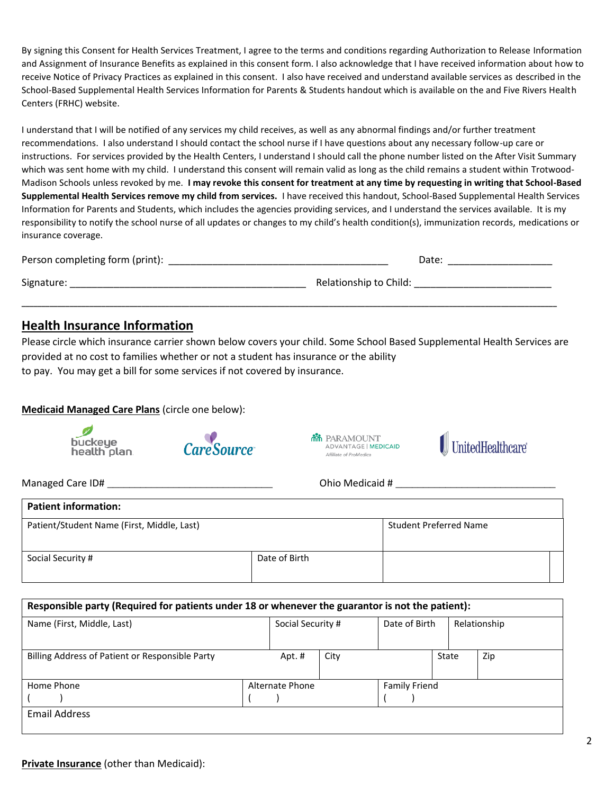By signing this Consent for Health Services Treatment, I agree to the terms and conditions regarding Authorization to Release Information and Assignment of Insurance Benefits as explained in this consent form. I also acknowledge that I have received information about how to receive Notice of Privacy Practices as explained in this consent. I also have received and understand available services as described in the School-Based Supplemental Health Services Information for Parents & Students handout which is available on the and Five Rivers Health Centers (FRHC) website.

I understand that I will be notified of any services my child receives, as well as any abnormal findings and/or further treatment recommendations. I also understand I should contact the school nurse if I have questions about any necessary follow-up care or instructions. For services provided by the Health Centers, I understand I should call the phone number listed on the After Visit Summary which was sent home with my child. I understand this consent will remain valid as long as the child remains a student within Trotwood-Madison Schools unless revoked by me. **I may revoke this consent for treatment at any time by requesting in writing that School-Based Supplemental Health Services remove my child from services.** I have received this handout, School-Based Supplemental Health Services Information for Parents and Students, which includes the agencies providing services, and I understand the services available. It is my responsibility to notify the school nurse of all updates or changes to my child's health condition(s), immunization records, medications or insurance coverage.

| Person completing form (print): | Date:                  |
|---------------------------------|------------------------|
| Signature:                      | Relationship to Child: |

**\_\_\_\_\_\_\_\_\_\_\_\_\_\_\_\_\_\_\_\_\_\_\_\_\_\_\_\_\_\_\_\_\_\_\_\_\_\_\_\_\_\_\_\_\_\_\_\_\_\_\_\_\_\_\_\_\_\_\_\_\_\_\_\_\_\_\_\_\_\_\_\_\_\_\_\_\_\_\_\_\_\_\_\_\_\_\_\_\_\_\_\_\_\_\_\_\_\_\_\_\_\_\_\_\_\_\_\_\_\_\_\_\_\_\_\_\_\_\_\_\_\_\_\_\_\_\_\_\_\_\_\_\_\_**

## **Health Insurance Information**

Please circle which insurance carrier shown below covers your child. Some School Based Supplemental Health Services are provided at no cost to families whether or not a student has insurance or the ability to pay. You may get a bill for some services if not covered by insurance.

## **Medicaid Managed Care Plans** (circle one below):









Managed Care ID# \_\_\_\_\_\_\_\_\_\_\_\_\_\_\_\_\_\_\_\_\_\_\_\_\_\_\_\_\_\_ Ohio Medicaid # \_\_\_\_\_\_\_\_\_\_\_\_\_\_\_\_\_\_\_\_\_\_\_\_\_\_\_\_\_

| <b>Patient information:</b>                |               |                               |  |  |  |  |  |  |
|--------------------------------------------|---------------|-------------------------------|--|--|--|--|--|--|
| Patient/Student Name (First, Middle, Last) |               | <b>Student Preferred Name</b> |  |  |  |  |  |  |
|                                            |               |                               |  |  |  |  |  |  |
| Social Security #                          | Date of Birth |                               |  |  |  |  |  |  |
|                                            |               |                               |  |  |  |  |  |  |

| Responsible party (Required for patients under 18 or whenever the guarantor is not the patient): |  |                   |      |                      |               |  |              |
|--------------------------------------------------------------------------------------------------|--|-------------------|------|----------------------|---------------|--|--------------|
| Name (First, Middle, Last)                                                                       |  | Social Security # |      |                      | Date of Birth |  | Relationship |
|                                                                                                  |  |                   |      |                      |               |  |              |
| Billing Address of Patient or Responsible Party                                                  |  | Apt.#             | City |                      | State         |  | Zip          |
|                                                                                                  |  |                   |      |                      |               |  |              |
| Home Phone                                                                                       |  | Alternate Phone   |      | <b>Family Friend</b> |               |  |              |
|                                                                                                  |  |                   |      |                      |               |  |              |
| <b>Email Address</b>                                                                             |  |                   |      |                      |               |  |              |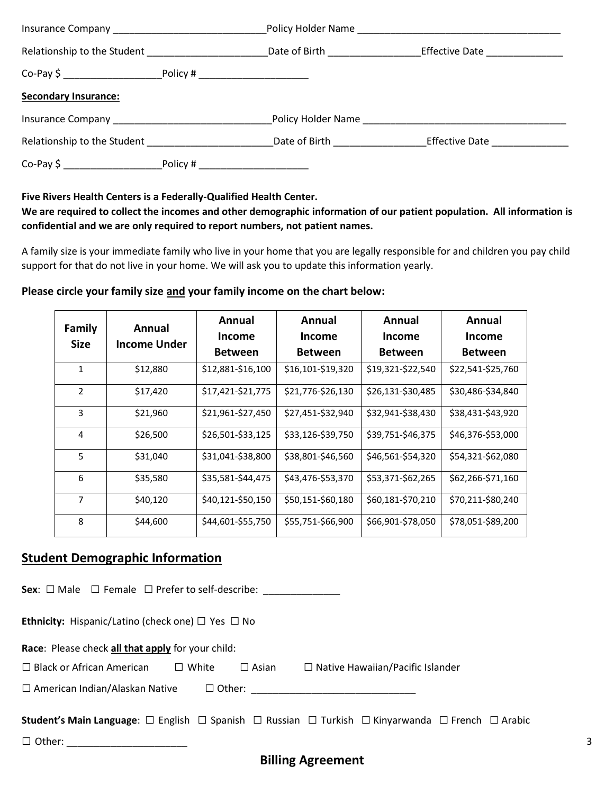|                                                                                                                                                                                                                                | Date of Birth __________________       | Effective Date _____________ |  |  |  |
|--------------------------------------------------------------------------------------------------------------------------------------------------------------------------------------------------------------------------------|----------------------------------------|------------------------------|--|--|--|
|                                                                                                                                                                                                                                |                                        |                              |  |  |  |
| <b>Secondary Insurance:</b>                                                                                                                                                                                                    |                                        |                              |  |  |  |
| Insurance Company and the company of the company of the company of the company of the company of the company of the company of the company of the company of the company of the company of the company of the company of the c | Policy Holder Name <b>Example 2018</b> |                              |  |  |  |
| Relationship to the Student Manuscript Control of the Student                                                                                                                                                                  | Date of Birth <b>Exercise 2018</b>     | <b>Effective Date</b>        |  |  |  |
|                                                                                                                                                                                                                                |                                        |                              |  |  |  |

#### **Five Rivers Health Centers is a Federally-Qualified Health Center.**

## **We are required to collect the incomes and other demographic information of our patient population. All information is confidential and we are only required to report numbers, not patient names.**

A family size is your immediate family who live in your home that you are legally responsible for and children you pay child support for that do not live in your home. We will ask you to update this information yearly.

#### **Please circle your family size and your family income on the chart below:**

| <b>Family</b><br>Size | Annual<br>Income Under | Annual<br><b>Income</b><br><b>Between</b> | Annual<br>Income<br><b>Between</b> | Annual<br><b>Income</b><br><b>Between</b> | Annual<br><b>Income</b><br><b>Between</b> |
|-----------------------|------------------------|-------------------------------------------|------------------------------------|-------------------------------------------|-------------------------------------------|
| 1                     | \$12,880               | \$12,881-\$16,100                         | \$16,101-\$19,320                  | \$19,321-\$22,540                         | \$22,541-\$25,760                         |
| 2                     | \$17,420               | \$17,421-\$21,775                         | \$21,776-\$26,130                  | \$26,131-\$30,485                         | \$30,486-\$34,840                         |
| 3                     | \$21,960               | \$21,961-\$27,450                         | \$27,451-\$32,940                  | \$32,941-\$38,430                         | \$38,431-\$43,920                         |
| 4                     | \$26,500               | \$26,501-\$33,125                         | \$33,126-\$39,750                  | \$39,751-\$46,375                         | \$46,376-\$53,000                         |
| 5                     | \$31,040               | \$31,041-\$38,800                         | \$38,801-\$46,560                  | \$46,561-\$54,320                         | \$54,321-\$62,080                         |
| 6                     | \$35,580               | \$35,581-\$44,475                         | \$43,476-\$53,370                  | \$53,371-\$62,265                         | \$62,266-\$71,160                         |
| 7                     | \$40,120               | \$40,121-\$50,150                         | \$50,151-\$60,180                  | \$60,181-\$70,210                         | \$70,211-\$80,240                         |
| 8                     | \$44,600               | \$44,601-\$55,750                         | \$55,751-\$66,900                  | \$66,901-\$78,050                         | \$78,051-\$89,200                         |

# **Student Demographic Information**

| <b>Sex:</b> $\Box$ Male $\Box$ Female $\Box$ Prefer to self-describe:                                                                                            |   |
|------------------------------------------------------------------------------------------------------------------------------------------------------------------|---|
| <b>Ethnicity:</b> Hispanic/Latino (check one) $\Box$ Yes $\Box$ No                                                                                               |   |
| Race: Please check all that apply for your child:                                                                                                                |   |
| $\Box$ Black or African American $\Box$ White<br>$\Box$ Native Hawaiian/Pacific Islander<br>$\square$ Asian                                                      |   |
| $\Box$ American Indian/Alaskan Native                                                                                                                            |   |
| <b>Student's Main Language</b> : $\square$ English $\square$ Spanish $\square$ Russian $\square$ Turkish $\square$ Kinyarwanda $\square$ French $\square$ Arabic |   |
| $\Box$ Other: $\Box$                                                                                                                                             | 3 |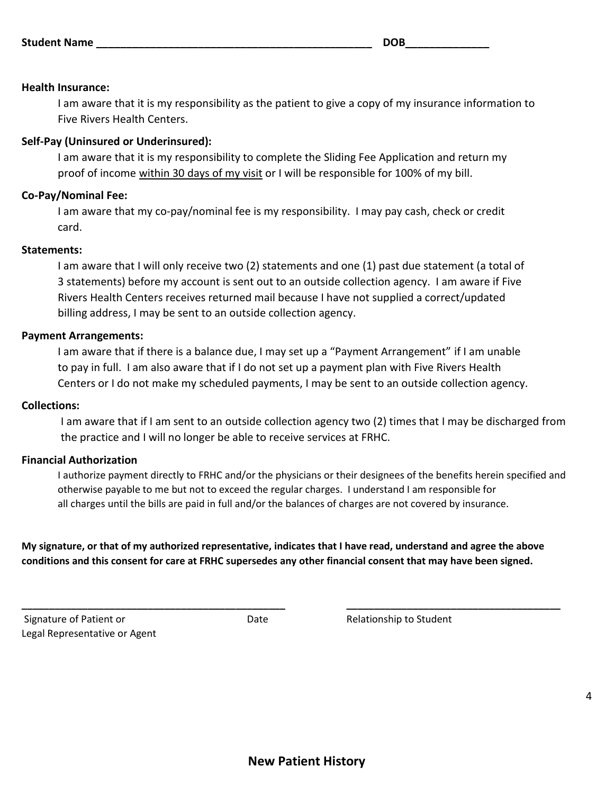#### **Health Insurance:**

I am aware that it is my responsibility as the patient to give a copy of my insurance information to Five Rivers Health Centers.

## **Self-Pay (Uninsured or Underinsured):**

I am aware that it is my responsibility to complete the Sliding Fee Application and return my proof of income within 30 days of my visit or I will be responsible for 100% of my bill.

## **Co-Pay/Nominal Fee:**

I am aware that my co-pay/nominal fee is my responsibility. I may pay cash, check or credit card.

#### **Statements:**

I am aware that I will only receive two (2) statements and one (1) past due statement (a total of 3 statements) before my account is sent out to an outside collection agency. I am aware if Five Rivers Health Centers receives returned mail because I have not supplied a correct/updated billing address, I may be sent to an outside collection agency.

## **Payment Arrangements:**

I am aware that if there is a balance due, I may set up a "Payment Arrangement" if I am unable to pay in full. I am also aware that if I do not set up a payment plan with Five Rivers Health Centers or I do not make my scheduled payments, I may be sent to an outside collection agency.

## **Collections:**

I am aware that if I am sent to an outside collection agency two (2) times that I may be discharged from the practice and I will no longer be able to receive services at FRHC.

## **Financial Authorization**

I authorize payment directly to FRHC and/or the physicians or their designees of the benefits herein specified and otherwise payable to me but not to exceed the regular charges. I understand I am responsible for all charges until the bills are paid in full and/or the balances of charges are not covered by insurance.

**My signature, or that of my authorized representative, indicates that I have read, understand and agree the above conditions and this consent for care at FRHC supersedes any other financial consent that may have been signed.**

**\_\_\_\_\_\_\_\_\_\_\_\_\_\_\_\_\_\_\_\_\_\_\_\_\_\_\_\_\_\_\_\_\_\_\_\_\_\_\_\_\_\_\_\_\_\_\_\_ \_\_\_\_\_\_\_\_\_\_\_\_\_\_\_\_\_\_\_\_\_\_\_\_\_\_\_\_\_\_\_\_\_\_\_\_\_\_\_**

**New Patient History**

Signature of Patient or  $D$  Date Relationship to Student Legal Representative or Agent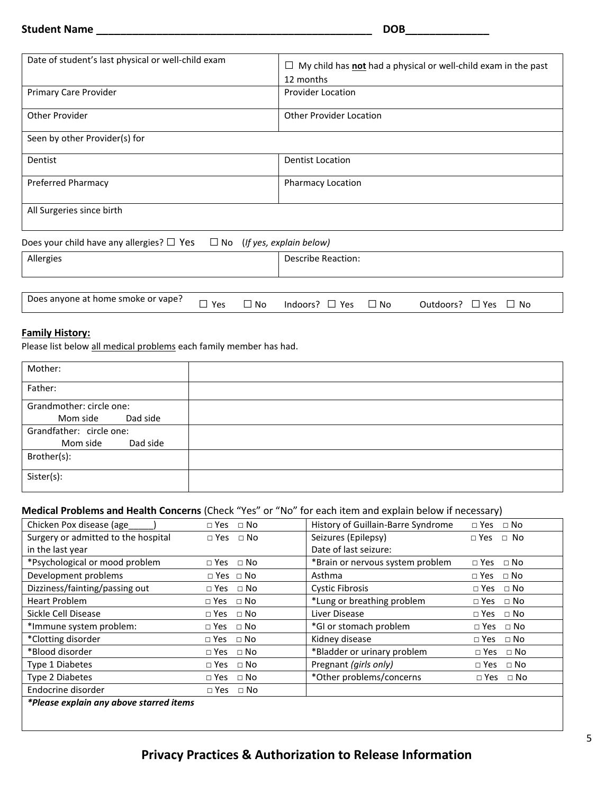#### **Student Name \_\_\_\_\_\_\_\_\_\_\_\_\_\_\_\_\_\_\_\_\_\_\_\_\_\_\_\_\_\_\_\_\_\_\_\_\_\_\_\_\_\_\_\_\_\_ DOB\_\_\_\_\_\_\_\_\_\_\_\_\_\_**

| Date of student's last physical or well-child exam                                  | $\Box$ My child has <b>not</b> had a physical or well-child exam in the past<br>12 months |
|-------------------------------------------------------------------------------------|-------------------------------------------------------------------------------------------|
| Primary Care Provider                                                               | <b>Provider Location</b>                                                                  |
| Other Provider                                                                      | <b>Other Provider Location</b>                                                            |
| Seen by other Provider(s) for                                                       |                                                                                           |
| Dentist                                                                             | <b>Dentist Location</b>                                                                   |
| <b>Preferred Pharmacy</b>                                                           | <b>Pharmacy Location</b>                                                                  |
| All Surgeries since birth                                                           |                                                                                           |
| Does your child have any allergies? $\Box$ Yes<br>$\Box$ No (If yes, explain below) |                                                                                           |

| Allergies                          |            |              | Describe Reaction:            |                                |
|------------------------------------|------------|--------------|-------------------------------|--------------------------------|
|                                    |            |              |                               |                                |
| Does anyone at home smoke or vape? | $\neg$ Yes | $\square$ No | Indoors? $\Box$ Yes $\Box$ No | Outdoors? $\Box$ Yes $\Box$ No |

## **Family History:**

Please list below all medical problems each family member has had.

| Mother:                  |  |
|--------------------------|--|
| Father:                  |  |
| Grandmother: circle one: |  |
| Dad side<br>Mom side     |  |
| Grandfather: circle one: |  |
| Mom side<br>Dad side     |  |
| Brother(s):              |  |
| Sister(s):               |  |

# **Medical Problems and Health Concerns** (Check "Yes" or "No" for each item and explain below if necessary)

| Chicken Pox disease (age            | $\Box$ Yes $\Box$ No      | History of Guillain-Barre Syndrome | $\Box$ Yes $\Box$ No    |
|-------------------------------------|---------------------------|------------------------------------|-------------------------|
| Surgery or admitted to the hospital | $\Box$ No<br>$\Box$ Yes   | Seizures (Epilepsy)                | $\Box$ Yes $\Box$ No    |
| in the last year                    |                           | Date of last seizure:              |                         |
| *Psychological or mood problem      | $\Box$ No<br>$\Box$ Yes   | *Brain or nervous system problem   | $\Box$ Yes<br>$\Box$ No |
| Development problems                | $\Box$ Yes $\Box$ No      | Asthma                             | $\Box$ Yes $\Box$ No    |
| Dizziness/fainting/passing out      | $\Box$ No<br>$\Box$ Yes   | <b>Cystic Fibrosis</b>             | $\Box$ Yes<br>$\Box$ No |
| <b>Heart Problem</b>                | $\Box$ No<br>$\Box$ Yes   | *Lung or breathing problem         | $\Box$ No<br>$\Box$ Yes |
| Sickle Cell Disease                 | $\Box$ No<br>$\Box$ Yes   | Liver Disease                      | $\Box$ Yes $\Box$ No    |
| *Immune system problem:             | $\Box$ No<br>$\Box$ Yes   | *GI or stomach problem             | $\Box$ No<br>$\Box$ Yes |
| *Clotting disorder                  | $\sqcap$ No<br>$\Box$ Yes | Kidney disease                     | $\Box$ No<br>$\Box$ Yes |
| *Blood disorder                     | $\sqcap$ No<br>$\Box$ Yes | *Bladder or urinary problem        | $\Box$ Yes<br>⊟ No      |
| Type 1 Diabetes                     | $\Box$ No<br>$\Box$ Yes   | Pregnant (girls only)              | ⊟ No<br>$\Box$ Yes      |
| Type 2 Diabetes                     | $\Box$ No<br>$\sqcap$ Yes | *Other problems/concerns           | $\Box$ Yes $\Box$ No    |
| Endocrine disorder                  | $\Box$ No<br>$\Box$ Yes   |                                    |                         |
|                                     |                           |                                    |                         |

*\*Please explain any above starred items*